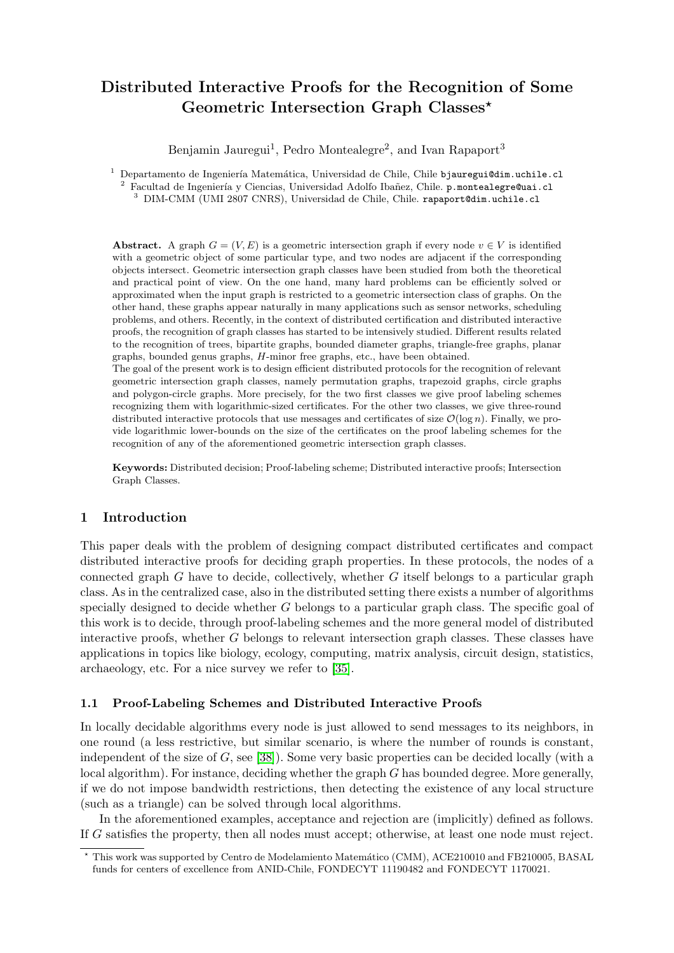# Distributed Interactive Proofs for the Recognition of Some Geometric Intersection Graph Classes<sup>\*</sup>

Benjamin Jauregui<sup>1</sup>, Pedro Montealegre<sup>2</sup>, and Ivan Rapaport<sup>3</sup>

Departamento de Ingeniería Matemática, Universidad de Chile, Chile bjauregui@dim.uchile.cl

Facultad de Ingeniería y Ciencias, Universidad Adolfo Ibañez, Chile. p.montealegre@uai.cl

<sup>3</sup> DIM-CMM (UMI 2807 CNRS), Universidad de Chile, Chile. rapaport@dim.uchile.cl

**Abstract.** A graph  $G = (V, E)$  is a geometric intersection graph if every node  $v \in V$  is identified with a geometric object of some particular type, and two nodes are adjacent if the corresponding objects intersect. Geometric intersection graph classes have been studied from both the theoretical and practical point of view. On the one hand, many hard problems can be efficiently solved or approximated when the input graph is restricted to a geometric intersection class of graphs. On the other hand, these graphs appear naturally in many applications such as sensor networks, scheduling problems, and others. Recently, in the context of distributed certification and distributed interactive proofs, the recognition of graph classes has started to be intensively studied. Different results related to the recognition of trees, bipartite graphs, bounded diameter graphs, triangle-free graphs, planar graphs, bounded genus graphs, H-minor free graphs, etc., have been obtained.

The goal of the present work is to design efficient distributed protocols for the recognition of relevant geometric intersection graph classes, namely permutation graphs, trapezoid graphs, circle graphs and polygon-circle graphs. More precisely, for the two first classes we give proof labeling schemes recognizing them with logarithmic-sized certificates. For the other two classes, we give three-round distributed interactive protocols that use messages and certificates of size  $\mathcal{O}(\log n)$ . Finally, we provide logarithmic lower-bounds on the size of the certificates on the proof labeling schemes for the recognition of any of the aforementioned geometric intersection graph classes.

Keywords: Distributed decision; Proof-labeling scheme; Distributed interactive proofs; Intersection Graph Classes.

# 1 Introduction

This paper deals with the problem of designing compact distributed certificates and compact distributed interactive proofs for deciding graph properties. In these protocols, the nodes of a connected graph G have to decide, collectively, whether G itself belongs to a particular graph class. As in the centralized case, also in the distributed setting there exists a number of algorithms specially designed to decide whether G belongs to a particular graph class. The specific goal of this work is to decide, through proof-labeling schemes and the more general model of distributed interactive proofs, whether G belongs to relevant intersection graph classes. These classes have applications in topics like biology, ecology, computing, matrix analysis, circuit design, statistics, archaeology, etc. For a nice survey we refer to [\[35\]](#page-15-0).

# 1.1 Proof-Labeling Schemes and Distributed Interactive Proofs

In locally decidable algorithms every node is just allowed to send messages to its neighbors, in one round (a less restrictive, but similar scenario, is where the number of rounds is constant, independent of the size of  $G$ , see [\[38\]](#page-15-1)). Some very basic properties can be decided locally (with a local algorithm). For instance, deciding whether the graph G has bounded degree. More generally, if we do not impose bandwidth restrictions, then detecting the existence of any local structure (such as a triangle) can be solved through local algorithms.

In the aforementioned examples, acceptance and rejection are (implicitly) defined as follows. If G satisfies the property, then all nodes must accept; otherwise, at least one node must reject.

<sup>?</sup> This work was supported by Centro de Modelamiento Matem´atico (CMM), ACE210010 and FB210005, BASAL funds for centers of excellence from ANID-Chile, FONDECYT 11190482 and FONDECYT 1170021.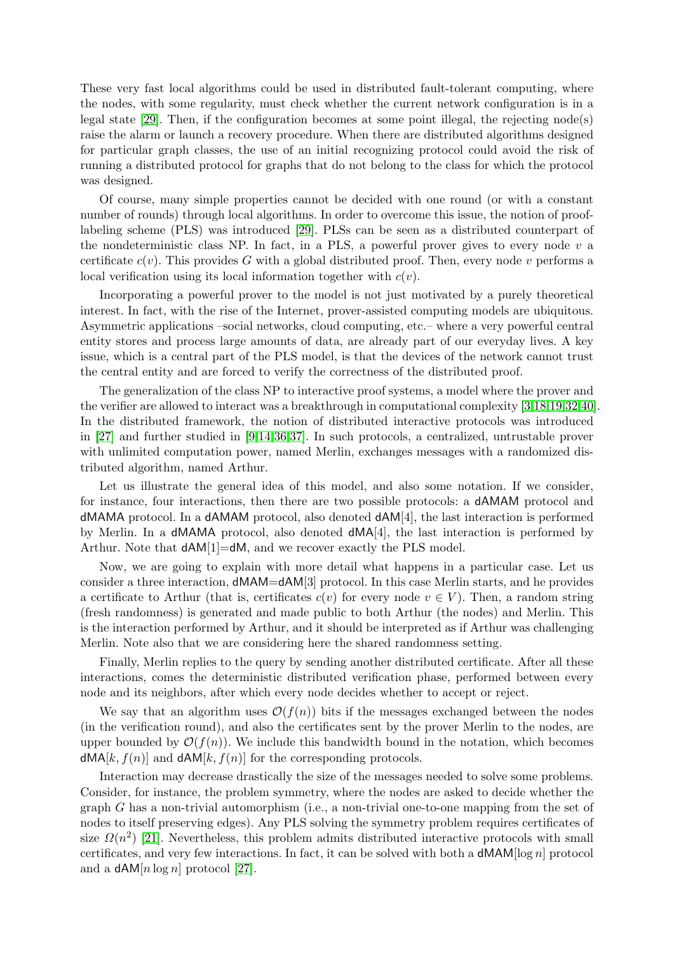These very fast local algorithms could be used in distributed fault-tolerant computing, where the nodes, with some regularity, must check whether the current network configuration is in a legal state [\[29\]](#page-15-2). Then, if the configuration becomes at some point illegal, the rejecting node(s) raise the alarm or launch a recovery procedure. When there are distributed algorithms designed for particular graph classes, the use of an initial recognizing protocol could avoid the risk of running a distributed protocol for graphs that do not belong to the class for which the protocol was designed.

Of course, many simple properties cannot be decided with one round (or with a constant number of rounds) through local algorithms. In order to overcome this issue, the notion of prooflabeling scheme (PLS) was introduced [\[29\]](#page-15-2). PLSs can be seen as a distributed counterpart of the nondeterministic class NP. In fact, in a PLS, a powerful prover gives to every node  $v$  a certificate  $c(v)$ . This provides G with a global distributed proof. Then, every node v performs a local verification using its local information together with  $c(v)$ .

Incorporating a powerful prover to the model is not just motivated by a purely theoretical interest. In fact, with the rise of the Internet, prover-assisted computing models are ubiquitous. Asymmetric applications –social networks, cloud computing, etc.– where a very powerful central entity stores and process large amounts of data, are already part of our everyday lives. A key issue, which is a central part of the PLS model, is that the devices of the network cannot trust the central entity and are forced to verify the correctness of the distributed proof.

The generalization of the class NP to interactive proof systems, a model where the prover and the verifier are allowed to interact was a breakthrough in computational complexity [\[3,](#page-14-0)[18,](#page-15-3)[19,](#page-15-4)[32,](#page-15-5)[40\]](#page-15-6). In the distributed framework, the notion of distributed interactive protocols was introduced in [\[27\]](#page-15-7) and further studied in [\[9](#page-14-1)[,14](#page-15-8)[,36,](#page-15-9)[37\]](#page-15-10). In such protocols, a centralized, untrustable prover with unlimited computation power, named Merlin, exchanges messages with a randomized distributed algorithm, named Arthur.

Let us illustrate the general idea of this model, and also some notation. If we consider, for instance, four interactions, then there are two possible protocols: a dAMAM protocol and dMAMA protocol. In a dAMAM protocol, also denoted dAM[4], the last interaction is performed by Merlin. In a dMAMA protocol, also denoted  $dMA[4]$ , the last interaction is performed by Arthur. Note that  $dAM[1]=dM$ , and we recover exactly the PLS model.

Now, we are going to explain with more detail what happens in a particular case. Let us consider a three interaction, dMAM=dAM[3] protocol. In this case Merlin starts, and he provides a certificate to Arthur (that is, certificates  $c(v)$  for every node  $v \in V$ ). Then, a random string (fresh randomness) is generated and made public to both Arthur (the nodes) and Merlin. This is the interaction performed by Arthur, and it should be interpreted as if Arthur was challenging Merlin. Note also that we are considering here the shared randomness setting.

Finally, Merlin replies to the query by sending another distributed certificate. After all these interactions, comes the deterministic distributed verification phase, performed between every node and its neighbors, after which every node decides whether to accept or reject.

We say that an algorithm uses  $\mathcal{O}(f(n))$  bits if the messages exchanged between the nodes (in the verification round), and also the certificates sent by the prover Merlin to the nodes, are upper bounded by  $\mathcal{O}(f(n))$ . We include this bandwidth bound in the notation, which becomes  $dMA[k, f(n)]$  and  $dAM[k, f(n)]$  for the corresponding protocols.

Interaction may decrease drastically the size of the messages needed to solve some problems. Consider, for instance, the problem symmetry, where the nodes are asked to decide whether the graph  $G$  has a non-trivial automorphism (i.e., a non-trivial one-to-one mapping from the set of nodes to itself preserving edges). Any PLS solving the symmetry problem requires certificates of size  $\Omega(n^2)$  [\[21\]](#page-15-11). Nevertheless, this problem admits distributed interactive protocols with small certificates, and very few interactions. In fact, it can be solved with both a  $dMAM[\log n]$  protocol and a  $dAM[n\log n]$  protocol [\[27\]](#page-15-7).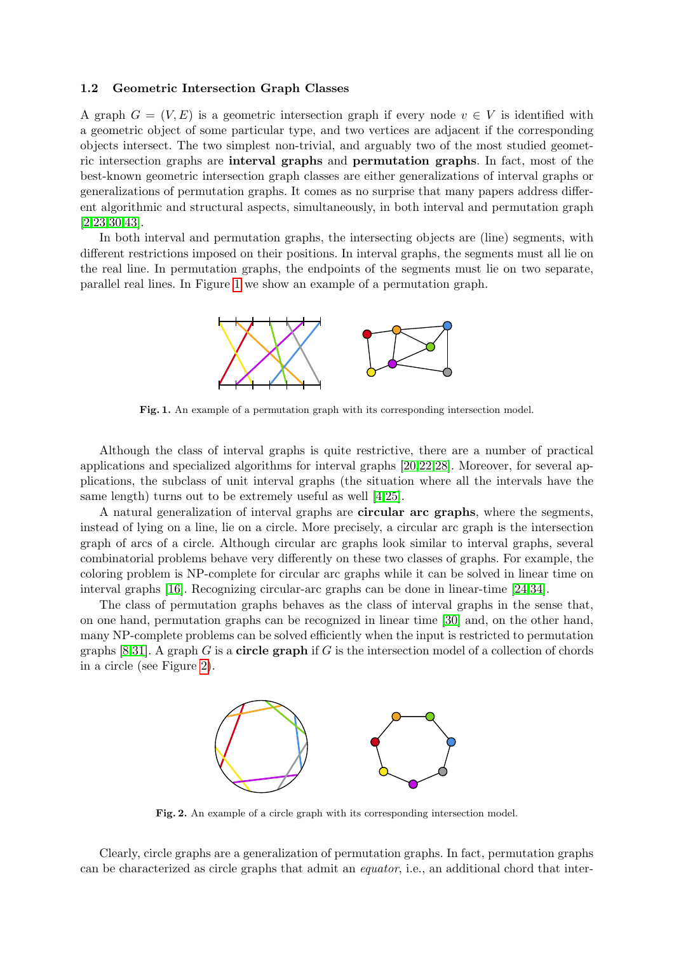#### 1.2 Geometric Intersection Graph Classes

A graph  $G = (V, E)$  is a geometric intersection graph if every node  $v \in V$  is identified with a geometric object of some particular type, and two vertices are adjacent if the corresponding objects intersect. The two simplest non-trivial, and arguably two of the most studied geometric intersection graphs are interval graphs and permutation graphs. In fact, most of the best-known geometric intersection graph classes are either generalizations of interval graphs or generalizations of permutation graphs. It comes as no surprise that many papers address different algorithmic and structural aspects, simultaneously, in both interval and permutation graph [\[2](#page-14-2)[,23](#page-15-12)[,30](#page-15-13)[,43\]](#page-15-14).

In both interval and permutation graphs, the intersecting objects are (line) segments, with different restrictions imposed on their positions. In interval graphs, the segments must all lie on the real line. In permutation graphs, the endpoints of the segments must lie on two separate, parallel real lines. In Figure [1](#page-2-0) we show an example of a permutation graph.



<span id="page-2-0"></span>Fig. 1. An example of a permutation graph with its corresponding intersection model.

Although the class of interval graphs is quite restrictive, there are a number of practical applications and specialized algorithms for interval graphs [\[20,](#page-15-15)[22](#page-15-16)[,28\]](#page-15-17). Moreover, for several applications, the subclass of unit interval graphs (the situation where all the intervals have the same length) turns out to be extremely useful as well [\[4,](#page-14-3)[25\]](#page-15-18).

A natural generalization of interval graphs are circular arc graphs, where the segments, instead of lying on a line, lie on a circle. More precisely, a circular arc graph is the intersection graph of arcs of a circle. Although circular arc graphs look similar to interval graphs, several combinatorial problems behave very differently on these two classes of graphs. For example, the coloring problem is NP-complete for circular arc graphs while it can be solved in linear time on interval graphs [\[16\]](#page-15-19). Recognizing circular-arc graphs can be done in linear-time [\[24,](#page-15-20)[34\]](#page-15-21).

The class of permutation graphs behaves as the class of interval graphs in the sense that, on one hand, permutation graphs can be recognized in linear time [\[30\]](#page-15-13) and, on the other hand, many NP-complete problems can be solved efficiently when the input is restricted to permutation graphs  $[8,31]$  $[8,31]$ . A graph G is a **circle graph** if G is the intersection model of a collection of chords in a circle (see Figure [2\)](#page-2-1).



<span id="page-2-1"></span>Fig. 2. An example of a circle graph with its corresponding intersection model.

Clearly, circle graphs are a generalization of permutation graphs. In fact, permutation graphs can be characterized as circle graphs that admit an equator, i.e., an additional chord that inter-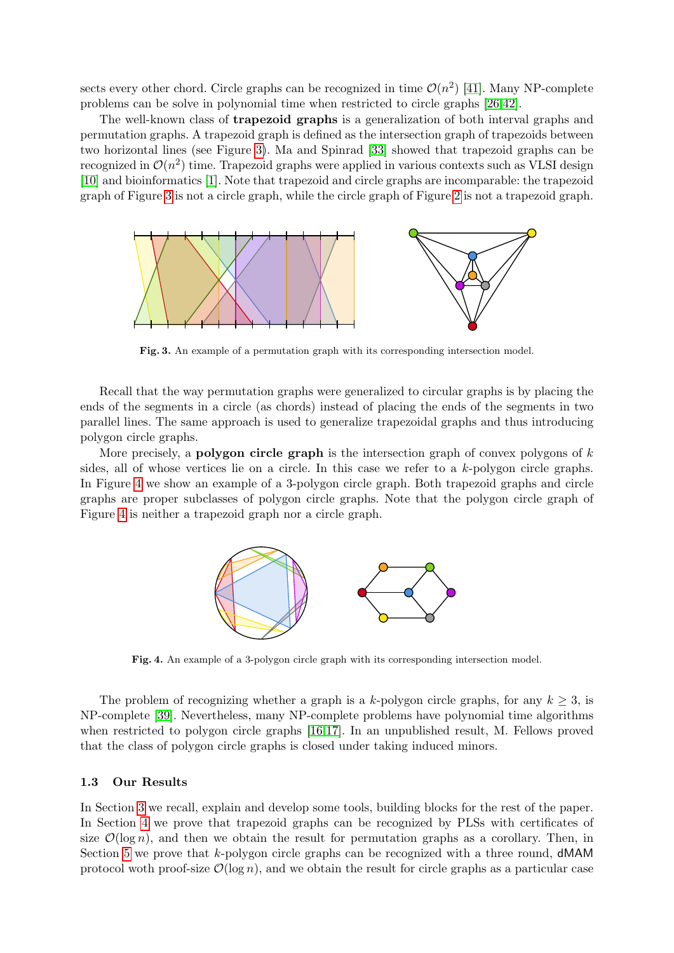sects every other chord. Circle graphs can be recognized in time  $\mathcal{O}(n^2)$  [\[41\]](#page-15-23). Many NP-complete problems can be solve in polynomial time when restricted to circle graphs [\[26,](#page-15-24)[42\]](#page-15-25).

The well-known class of **trapezoid graphs** is a generalization of both interval graphs and permutation graphs. A trapezoid graph is defined as the intersection graph of trapezoids between two horizontal lines (see Figure [3\)](#page-3-0). Ma and Spinrad [\[33\]](#page-15-26) showed that trapezoid graphs can be recognized in  $\mathcal{O}(n^2)$  time. Trapezoid graphs were applied in various contexts such as VLSI design [\[10\]](#page-15-27) and bioinformatics [\[1\]](#page-14-5). Note that trapezoid and circle graphs are incomparable: the trapezoid graph of Figure [3](#page-3-0) is not a circle graph, while the circle graph of Figure [2](#page-2-1) is not a trapezoid graph.



<span id="page-3-0"></span>Fig. 3. An example of a permutation graph with its corresponding intersection model.

Recall that the way permutation graphs were generalized to circular graphs is by placing the ends of the segments in a circle (as chords) instead of placing the ends of the segments in two parallel lines. The same approach is used to generalize trapezoidal graphs and thus introducing polygon circle graphs.

More precisely, a **polygon circle graph** is the intersection graph of convex polygons of  $k$ sides, all of whose vertices lie on a circle. In this case we refer to a k-polygon circle graphs. In Figure [4](#page-3-1) we show an example of a 3-polygon circle graph. Both trapezoid graphs and circle graphs are proper subclasses of polygon circle graphs. Note that the polygon circle graph of Figure [4](#page-3-1) is neither a trapezoid graph nor a circle graph.



<span id="page-3-1"></span>Fig. 4. An example of a 3-polygon circle graph with its corresponding intersection model.

The problem of recognizing whether a graph is a k-polygon circle graphs, for any  $k \geq 3$ , is NP-complete [\[39\]](#page-15-28). Nevertheless, many NP-complete problems have polynomial time algorithms when restricted to polygon circle graphs [\[16,](#page-15-19)[17\]](#page-15-29). In an unpublished result, M. Fellows proved that the class of polygon circle graphs is closed under taking induced minors.

## 1.3 Our Results

In Section [3](#page-5-0) we recall, explain and develop some tools, building blocks for the rest of the paper. In Section [4](#page-7-0) we prove that trapezoid graphs can be recognized by PLSs with certificates of size  $\mathcal{O}(\log n)$ , and then we obtain the result for permutation graphs as a corollary. Then, in Section [5](#page-10-0) we prove that k-polygon circle graphs can be recognized with a three round, dMAM protocol woth proof-size  $\mathcal{O}(\log n)$ , and we obtain the result for circle graphs as a particular case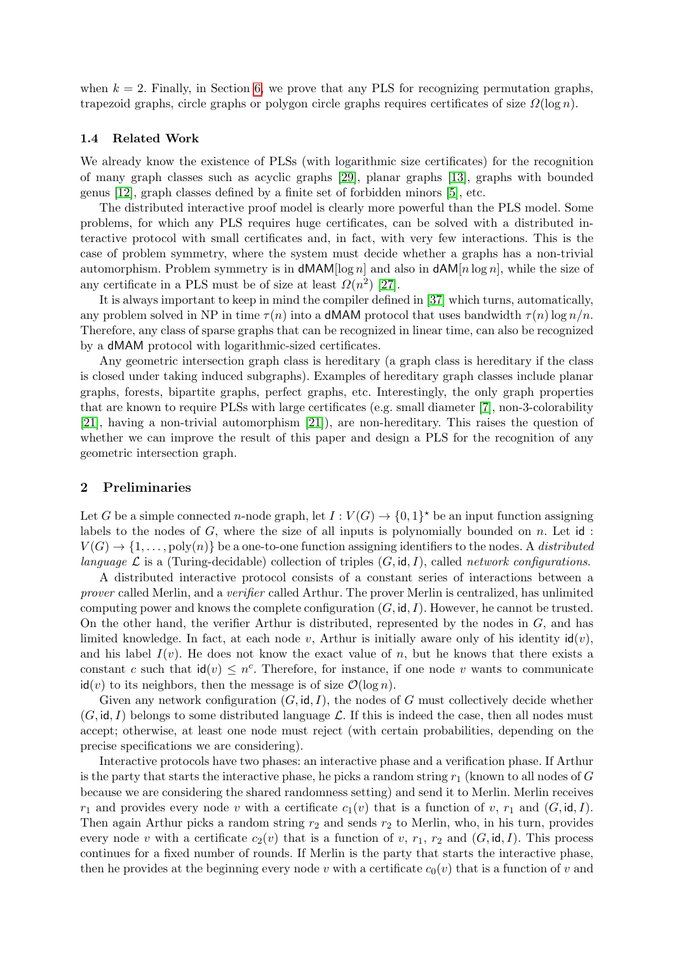when  $k = 2$ . Finally, in Section [6,](#page-12-0) we prove that any PLS for recognizing permutation graphs, trapezoid graphs, circle graphs or polygon circle graphs requires certificates of size  $\Omega(\log n)$ .

#### 1.4 Related Work

We already know the existence of PLSs (with logarithmic size certificates) for the recognition of many graph classes such as acyclic graphs [\[29\]](#page-15-2), planar graphs [\[13\]](#page-15-30), graphs with bounded genus [\[12\]](#page-15-31), graph classes defined by a finite set of forbidden minors [\[5\]](#page-14-6), etc.

The distributed interactive proof model is clearly more powerful than the PLS model. Some problems, for which any PLS requires huge certificates, can be solved with a distributed interactive protocol with small certificates and, in fact, with very few interactions. This is the case of problem symmetry, where the system must decide whether a graphs has a non-trivial automorphism. Problem symmetry is in  $dM/M[\log n]$  and also in  $dAM[n\log n]$ , while the size of any certificate in a PLS must be of size at least  $\Omega(n^2)$  [\[27\]](#page-15-7).

It is always important to keep in mind the compiler defined in [\[37\]](#page-15-10) which turns, automatically, any problem solved in NP in time  $\tau(n)$  into a dMAM protocol that uses bandwidth  $\tau(n) \log n/n$ . Therefore, any class of sparse graphs that can be recognized in linear time, can also be recognized by a dMAM protocol with logarithmic-sized certificates.

Any geometric intersection graph class is hereditary (a graph class is hereditary if the class is closed under taking induced subgraphs). Examples of hereditary graph classes include planar graphs, forests, bipartite graphs, perfect graphs, etc. Interestingly, the only graph properties that are known to require PLSs with large certificates (e.g. small diameter [\[7\]](#page-14-7), non-3-colorability [\[21\]](#page-15-11), having a non-trivial automorphism [\[21\]](#page-15-11)), are non-hereditary. This raises the question of whether we can improve the result of this paper and design a PLS for the recognition of any geometric intersection graph.

# 2 Preliminaries

Let G be a simple connected *n*-node graph, let  $I: V(G) \to \{0,1\}^*$  be an input function assigning labels to the nodes of  $G$ , where the size of all inputs is polynomially bounded on  $n$ . Let id:  $V(G) \to \{1,\ldots,\text{poly}(n)\}\$ be a one-to-one function assigning identifiers to the nodes. A *distributed* language  $\mathcal L$  is a (Turing-decidable) collection of triples  $(G, id, I)$ , called network configurations.

A distributed interactive protocol consists of a constant series of interactions between a prover called Merlin, and a verifier called Arthur. The prover Merlin is centralized, has unlimited computing power and knows the complete configuration  $(G, id, I)$ . However, he cannot be trusted. On the other hand, the verifier Arthur is distributed, represented by the nodes in  $G$ , and has limited knowledge. In fact, at each node v, Arthur is initially aware only of his identity  $\mathsf{id}(v)$ , and his label  $I(v)$ . He does not know the exact value of n, but he knows that there exists a constant c such that  $\mathsf{id}(v) \leq n^c$ . Therefore, for instance, if one node v wants to communicate  $id(v)$  to its neighbors, then the message is of size  $\mathcal{O}(\log n)$ .

Given any network configuration  $(G, id, I)$ , the nodes of G must collectively decide whether  $(G, id, I)$  belongs to some distributed language  $\mathcal{L}$ . If this is indeed the case, then all nodes must accept; otherwise, at least one node must reject (with certain probabilities, depending on the precise specifications we are considering).

Interactive protocols have two phases: an interactive phase and a verification phase. If Arthur is the party that starts the interactive phase, he picks a random string  $r_1$  (known to all nodes of G because we are considering the shared randomness setting) and send it to Merlin. Merlin receives  $r_1$  and provides every node v with a certificate  $c_1(v)$  that is a function of v,  $r_1$  and  $(G, id, I)$ . Then again Arthur picks a random string  $r_2$  and sends  $r_2$  to Merlin, who, in his turn, provides every node v with a certificate  $c_2(v)$  that is a function of v,  $r_1$ ,  $r_2$  and  $(G, id, I)$ . This process continues for a fixed number of rounds. If Merlin is the party that starts the interactive phase, then he provides at the beginning every node v with a certificate  $c_0(v)$  that is a function of v and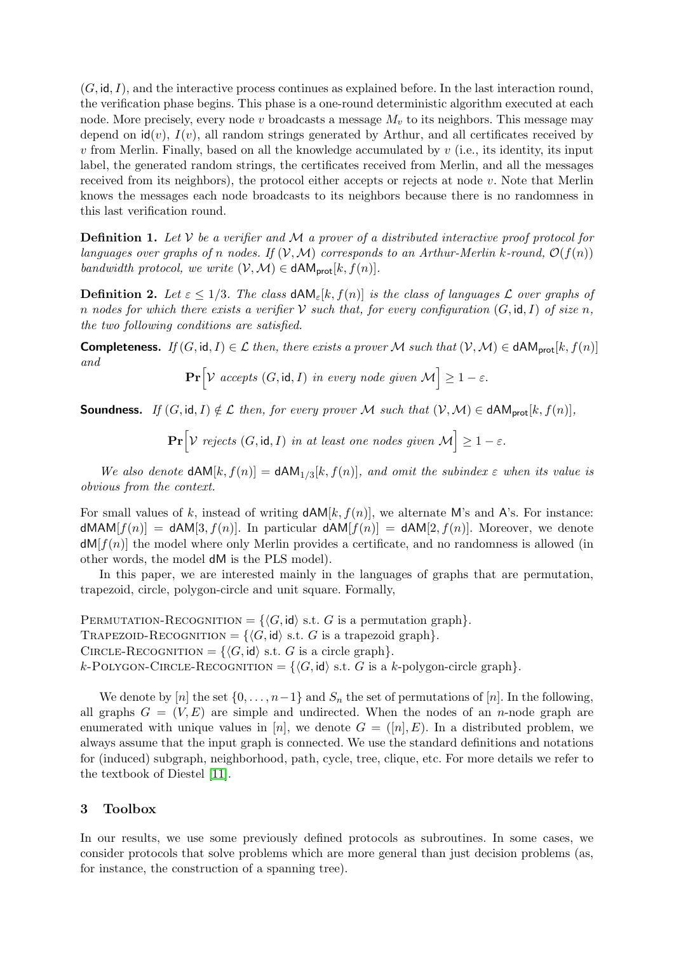$(G, id, I)$ , and the interactive process continues as explained before. In the last interaction round, the verification phase begins. This phase is a one-round deterministic algorithm executed at each node. More precisely, every node v broadcasts a message  $M<sub>v</sub>$  to its neighbors. This message may depend on  $\mathbf{id}(v)$ ,  $I(v)$ , all random strings generated by Arthur, and all certificates received by  $v$  from Merlin. Finally, based on all the knowledge accumulated by  $v$  (i.e., its identity, its input label, the generated random strings, the certificates received from Merlin, and all the messages received from its neighbors), the protocol either accepts or rejects at node  $v$ . Note that Merlin knows the messages each node broadcasts to its neighbors because there is no randomness in this last verification round.

**Definition 1.** Let V be a verifier and M a prover of a distributed interactive proof protocol for languages over graphs of n nodes. If  $(V, \mathcal{M})$  corresponds to an Arthur-Merlin k-round,  $\mathcal{O}(f(n))$ bandwidth protocol, we write  $(V, \mathcal{M}) \in dAM_{\text{brot}}[k, f(n)]$ .

**Definition 2.** Let  $\epsilon \leq 1/3$ . The class  $dAM_{\epsilon}[k, f(n)]$  is the class of languages L over graphs of n nodes for which there exists a verifier  $V$  such that, for every configuration  $(G, id, I)$  of size n, the two following conditions are satisfied.

**Completeness.** If  $(G, id, I) \in \mathcal{L}$  then, there exists a prover M such that  $(\mathcal{V}, \mathcal{M}) \in dAM_{prot}[k, f(n)]$ and

 $\Pr[\mathcal{V} \text{ accepts } (G, \text{id}, I) \text{ in every node given } \mathcal{M}] \geq 1 - \varepsilon.$ 

**Soundness.** If  $(G, id, I) \notin \mathcal{L}$  then, for every prover M such that  $(\mathcal{V}, \mathcal{M}) \in dAM_{prot}[k, f(n)]$ ,

 $\mathbf{Pr} \big[ \mathcal{V} \text{ rejects } (G, \text{id}, I) \text{ in at least one nodes given } \mathcal{M} \big] \geq 1 - \varepsilon.$ 

We also denote  $dAM[k, f(n)] = dAM_{1/3}[k, f(n)]$ , and omit the subindex  $\varepsilon$  when its value is obvious from the context.

For small values of k, instead of writing  $dAM[k, f(n)]$ , we alternate M's and A's. For instance:  $dMAM[f(n)] = dAM[3, f(n)]$ . In particular  $dAM[f(n)] = dAM[2, f(n)]$ . Moreover, we denote  $dM[f(n)]$  the model where only Merlin provides a certificate, and no randomness is allowed (in other words, the model dM is the PLS model).

In this paper, we are interested mainly in the languages of graphs that are permutation, trapezoid, circle, polygon-circle and unit square. Formally,

PERMUTATION-RECOGNITION =  $\{\langle G, \text{id} \rangle \text{ s.t. } G \text{ is a permutation graph}\}.$ TRAPEZOID-RECOGNITION =  $\{\langle G, \text{id} \rangle \text{ s.t. } G \text{ is a trapezoid graph}\}.$ CIRCLE-RECOGNITION =  $\{\langle G, \text{id} \rangle \text{ s.t. } G \text{ is a circle graph}\}.$  $k$ -POLYGON-CIRCLE-RECOGNITION =  $\{\langle G, \text{id} \rangle \text{ s.t. } G \text{ is a } k\text{-polygon-circle graph}\}.$ 

We denote by [n] the set  $\{0, \ldots, n-1\}$  and  $S_n$  the set of permutations of [n]. In the following, all graphs  $G = (V, E)$  are simple and undirected. When the nodes of an *n*-node graph are enumerated with unique values in [n], we denote  $G = ([n], E)$ . In a distributed problem, we always assume that the input graph is connected. We use the standard definitions and notations for (induced) subgraph, neighborhood, path, cycle, tree, clique, etc. For more details we refer to the textbook of Diestel [\[11\]](#page-15-32).

#### <span id="page-5-0"></span>3 Toolbox

In our results, we use some previously defined protocols as subroutines. In some cases, we consider protocols that solve problems which are more general than just decision problems (as, for instance, the construction of a spanning tree).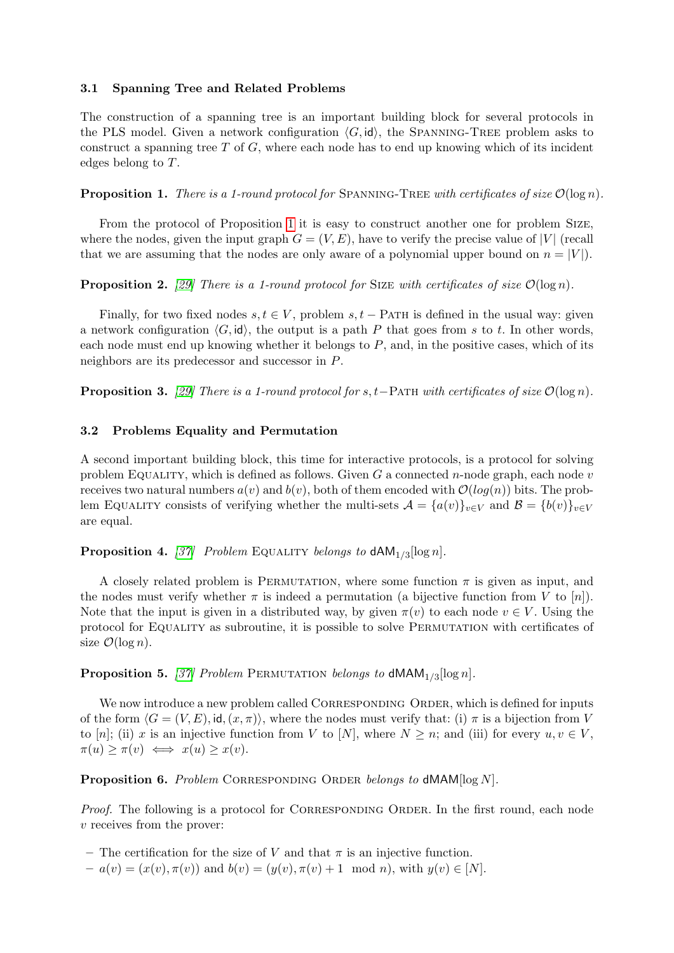# 3.1 Spanning Tree and Related Problems

The construction of a spanning tree is an important building block for several protocols in the PLS model. Given a network configuration  $\langle G, \mathbf{id} \rangle$ , the Spanning-Tree problem asks to construct a spanning tree  $T$  of  $G$ , where each node has to end up knowing which of its incident edges belong to T.

<span id="page-6-0"></span>**Proposition 1.** There is a 1-round protocol for SPANNING-TREE with certificates of size  $\mathcal{O}(\log n)$ .

From the protocol of Proposition [1](#page-6-0) it is easy to construct another one for problem Size, where the nodes, given the input graph  $G = (V, E)$ , have to verify the precise value of |V| (recall that we are assuming that the nodes are only aware of a polynomial upper bound on  $n = |V|$ .

<span id="page-6-1"></span>**Proposition 2.** [\[29\]](#page-15-2) There is a 1-round protocol for SIZE with certificates of size  $\mathcal{O}(\log n)$ .

Finally, for two fixed nodes  $s, t \in V$ , problem  $s, t$  – PATH is defined in the usual way: given a network configuration  $\langle G, id \rangle$ , the output is a path P that goes from s to t. In other words, each node must end up knowing whether it belongs to  $P$ , and, in the positive cases, which of its neighbors are its predecessor and successor in P.

**Proposition 3.** [\[29\]](#page-15-2) There is a 1-round protocol for s, t–PATH with certificates of size  $\mathcal{O}(\log n)$ .

#### 3.2 Problems Equality and Permutation

A second important building block, this time for interactive protocols, is a protocol for solving problem EQUALITY, which is defined as follows. Given G a connected n-node graph, each node  $v$ receives two natural numbers  $a(v)$  and  $b(v)$ , both of them encoded with  $\mathcal{O}(log(n))$  bits. The problem EQUALITY consists of verifying whether the multi-sets  $\mathcal{A} = \{a(v)\}_{v \in V}$  and  $\mathcal{B} = \{b(v)\}_{v \in V}$ are equal.

**Proposition 4.** [\[37\]](#page-15-10) Problem EQUALITY belongs to  $dAM_{1/3}[\log n]$ .

A closely related problem is PERMUTATION, where some function  $\pi$  is given as input, and the nodes must verify whether  $\pi$  is indeed a permutation (a bijective function from V to  $[n]$ ). Note that the input is given in a distributed way, by given  $\pi(v)$  to each node  $v \in V$ . Using the protocol for Equality as subroutine, it is possible to solve Permutation with certificates of size  $\mathcal{O}(\log n)$ .

<span id="page-6-2"></span>**Proposition 5.** [\[37\]](#page-15-10) Problem PERMUTATION belongs to  $dMAM_{1/3}[\log n]$ .

We now introduce a new problem called CORRESPONDING ORDER, which is defined for inputs of the form  $\langle G = (V, E), id, (x, \pi) \rangle$ , where the nodes must verify that: (i)  $\pi$  is a bijection from V to [n]; (ii) x is an injective function from V to [N], where  $N \geq n$ ; and (iii) for every  $u, v \in V$ ,  $\pi(u) > \pi(v) \iff x(u) > x(v).$ 

<span id="page-6-3"></span>**Proposition 6.** Problem CORRESPONDING ORDER belongs to  $dMAM[log N]$ .

Proof. The following is a protocol for CORRESPONDING ORDER. In the first round, each node v receives from the prover:

– The certification for the size of V and that  $\pi$  is an injective function.

 $(a - a(v) = (x(v), \pi(v))$  and  $b(v) = (y(v), \pi(v)) + 1 \mod n$ , with  $y(v) \in [N]$ .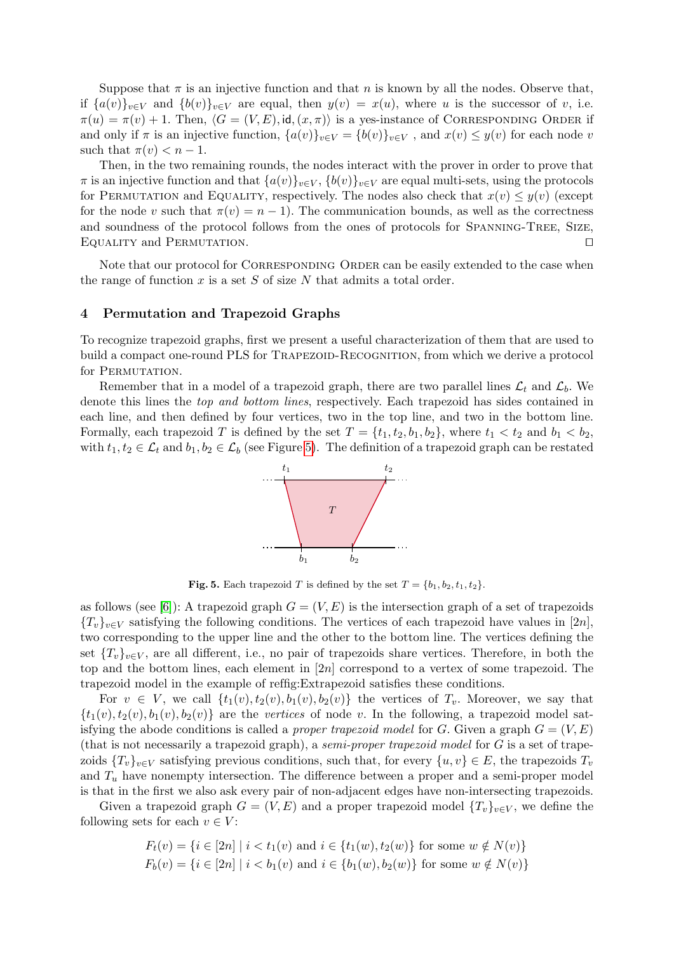Suppose that  $\pi$  is an injective function and that n is known by all the nodes. Observe that, if  $\{a(v)\}_{v\in V}$  and  $\{b(v)\}_{v\in V}$  are equal, then  $y(v) = x(u)$ , where u is the successor of v, i.e.  $\pi(u) = \pi(v) + 1$ . Then,  $\langle G = (V, E), id, (x, \pi) \rangle$  is a yes-instance of CORRESPONDING ORDER if and only if  $\pi$  is an injective function,  $\{a(v)\}_{v\in V} = \{b(v)\}_{v\in V}$ , and  $x(v) \leq y(v)$  for each node v such that  $\pi(v) < n-1$ .

Then, in the two remaining rounds, the nodes interact with the prover in order to prove that  $\pi$  is an injective function and that  $\{a(v)\}_{v\in V}$ ,  $\{b(v)\}_{v\in V}$  are equal multi-sets, using the protocols for PERMUTATION and EQUALITY, respectively. The nodes also check that  $x(v) \leq y(v)$  (except for the node v such that  $\pi(v) = n - 1$ . The communication bounds, as well as the correctness and soundness of the protocol follows from the ones of protocols for Spanning-Tree, Size, EQUALITY and PERMUTATION.  $\Box$ 

Note that our protocol for CORRESPONDING ORDER can be easily extended to the case when the range of function  $x$  is a set  $S$  of size  $N$  that admits a total order.

## <span id="page-7-0"></span>4 Permutation and Trapezoid Graphs

To recognize trapezoid graphs, first we present a useful characterization of them that are used to build a compact one-round PLS for TRAPEZOID-RECOGNITION, from which we derive a protocol for PERMUTATION.

Remember that in a model of a trapezoid graph, there are two parallel lines  $\mathcal{L}_t$  and  $\mathcal{L}_b$ . We denote this lines the top and bottom lines, respectively. Each trapezoid has sides contained in each line, and then defined by four vertices, two in the top line, and two in the bottom line. Formally, each trapezoid T is defined by the set  $T = \{t_1, t_2, b_1, b_2\}$ , where  $t_1 < t_2$  and  $b_1 < b_2$ , with  $t_1, t_2 \in \mathcal{L}_t$  and  $b_1, b_2 \in \mathcal{L}_b$  (see Figure [5\)](#page-7-1). The definition of a trapezoid graph can be restated



<span id="page-7-1"></span>**Fig. 5.** Each trapezoid T is defined by the set  $T = \{b_1, b_2, t_1, t_2\}$ .

as follows (see [\[6\]](#page-14-8)): A trapezoid graph  $G = (V, E)$  is the intersection graph of a set of trapezoids  ${T_v}_{v \in V}$  satisfying the following conditions. The vertices of each trapezoid have values in [2n], two corresponding to the upper line and the other to the bottom line. The vertices defining the set  ${T_v}_{v \in V}$ , are all different, i.e., no pair of trapezoids share vertices. Therefore, in both the top and the bottom lines, each element in  $[2n]$  correspond to a vertex of some trapezoid. The trapezoid model in the example of reffig:Extrapezoid satisfies these conditions.

For  $v \in V$ , we call  $\{t_1(v), t_2(v), b_1(v), b_2(v)\}$  the vertices of  $T_v$ . Moreover, we say that  $\{t_1(v), t_2(v), b_1(v), b_2(v)\}\$ are the vertices of node v. In the following, a trapezoid model satisfying the abode conditions is called a *proper trapezoid model* for G. Given a graph  $G = (V, E)$ (that is not necessarily a trapezoid graph), a *semi-proper trapezoid model* for  $G$  is a set of trapezoids  $\{T_v\}_{v\in V}$  satisfying previous conditions, such that, for every  $\{u, v\} \in E$ , the trapezoids  $T_v$ and  $T_u$  have nonempty intersection. The difference between a proper and a semi-proper model is that in the first we also ask every pair of non-adjacent edges have non-intersecting trapezoids.

Given a trapezoid graph  $G = (V, E)$  and a proper trapezoid model  $\{T_v\}_{v \in V}$ , we define the following sets for each  $v \in V$ :

$$
F_t(v) = \{ i \in [2n] \mid i < t_1(v) \text{ and } i \in \{ t_1(w), t_2(w) \} \text{ for some } w \notin N(v) \}
$$
\n
$$
F_b(v) = \{ i \in [2n] \mid i < b_1(v) \text{ and } i \in \{ b_1(w), b_2(w) \} \text{ for some } w \notin N(v) \}
$$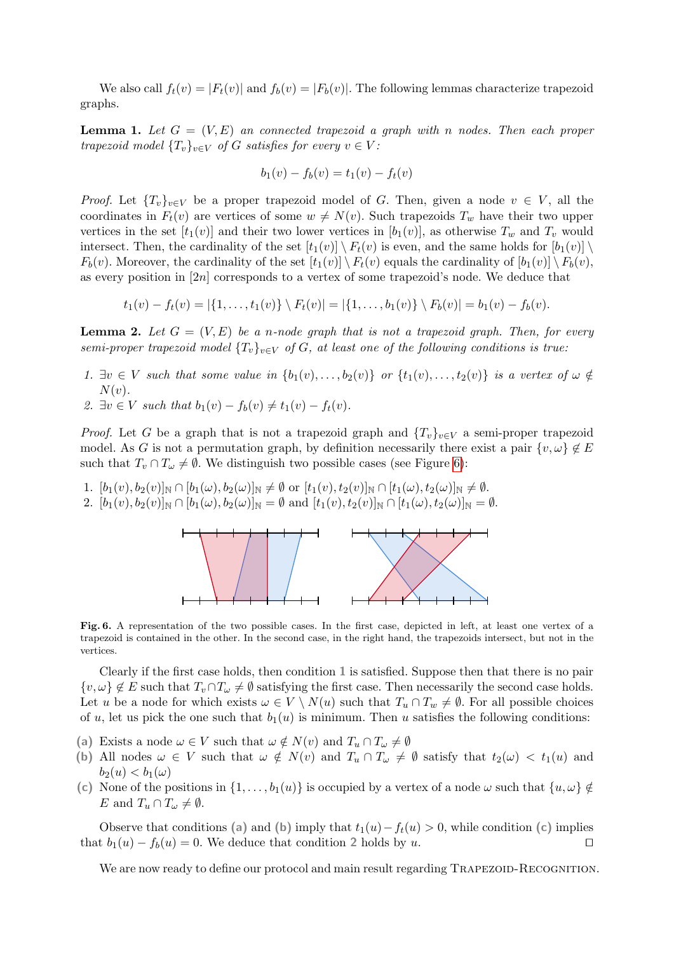We also call  $f_t(v) = |F_t(v)|$  and  $f_b(v) = |F_b(v)|$ . The following lemmas characterize trapezoid graphs.

<span id="page-8-1"></span>**Lemma 1.** Let  $G = (V, E)$  an connected trapezoid a graph with n nodes. Then each proper trapezoid model  $\{T_v\}_{v\in V}$  of G satisfies for every  $v \in V$ :

$$
b_1(v) - f_b(v) = t_1(v) - f_t(v)
$$

*Proof.* Let  $\{T_v\}_{v\in V}$  be a proper trapezoid model of G. Then, given a node  $v \in V$ , all the coordinates in  $F_t(v)$  are vertices of some  $w \neq N(v)$ . Such trapezoids  $T_w$  have their two upper vertices in the set  $[t_1(v)]$  and their two lower vertices in  $[b_1(v)]$ , as otherwise  $T_w$  and  $T_v$  would intersect. Then, the cardinality of the set  $[t_1(v)] \setminus F_t(v)$  is even, and the same holds for  $[b_1(v)] \setminus F_t(v)$  $F_b(v)$ . Moreover, the cardinality of the set  $[t_1(v)] \setminus F_t(v)$  equals the cardinality of  $[b_1(v)] \setminus F_b(v)$ , as every position in  $[2n]$  corresponds to a vertex of some trapezoid's node. We deduce that

$$
t_1(v) - f_t(v) = |\{1, \ldots, t_1(v)\} \setminus F_t(v)| = |\{1, \ldots, b_1(v)\} \setminus F_b(v)| = b_1(v) - f_b(v).
$$

<span id="page-8-2"></span>**Lemma 2.** Let  $G = (V, E)$  be a n-node graph that is not a trapezoid graph. Then, for every semi-proper trapezoid model  $\{T_v\}_{v\in V}$  of G, at least one of the following conditions is true:

- 1.  $\exists v \in V$  such that some value in  $\{b_1(v), \ldots, b_2(v)\}\;$  or  $\{t_1(v), \ldots, t_2(v)\}\;$  is a vertex of  $\omega \notin V$  $N(v)$ .
- 2.  $\exists v \in V$  such that  $b_1(v) f_b(v) \neq t_1(v) f_t(v)$ .

*Proof.* Let G be a graph that is not a trapezoid graph and  $\{T_v\}_{v\in V}$  a semi-proper trapezoid model. As G is not a permutation graph, by definition necessarily there exist a pair  $\{v, \omega\} \notin E$ such that  $T_v \cap T_\omega \neq \emptyset$ . We distinguish two possible cases (see Figure [6\)](#page-8-0):

1.  $[b_1(v), b_2(v)]_N \cap [b_1(\omega), b_2(\omega)]_N \neq \emptyset$  or  $[t_1(v), t_2(v)]_N \cap [t_1(\omega), t_2(\omega)]_N \neq \emptyset$ . 2.  $[b_1(v), b_2(v)]_N \cap [b_1(\omega), b_2(\omega)]_N = \emptyset$  and  $[t_1(v), t_2(v)]_N \cap [t_1(\omega), t_2(\omega)]_N = \emptyset$ .



<span id="page-8-0"></span>Fig. 6. A representation of the two possible cases. In the first case, depicted in left, at least one vertex of a trapezoid is contained in the other. In the second case, in the right hand, the trapezoids intersect, but not in the vertices.

Clearly if the first case holds, then condition 1 is satisfied. Suppose then that there is no pair  $\{v, \omega\} \notin E$  such that  $T_v \cap T_\omega \neq \emptyset$  satisfying the first case. Then necessarily the second case holds. Let u be a node for which exists  $\omega \in V \setminus N(u)$  such that  $T_u \cap T_w \neq \emptyset$ . For all possible choices of u, let us pick the one such that  $b_1(u)$  is minimum. Then u satisfies the following conditions:

- (a) Exists a node  $\omega \in V$  such that  $\omega \notin N(v)$  and  $T_u \cap T_{\omega} \neq \emptyset$
- (b) All nodes  $\omega \in V$  such that  $\omega \notin N(v)$  and  $T_u \cap T_{\omega} \neq \emptyset$  satisfy that  $t_2(\omega) < t_1(u)$  and  $b_2(u) < b_1(\omega)$
- (c) None of the positions in  $\{1,\ldots,b_1(u)\}$  is occupied by a vertex of a node  $\omega$  such that  $\{u,\omega\}\notin$ E and  $T_u \cap T_\omega \neq \emptyset$ .

Observe that conditions (a) and (b) imply that  $t_1(u) - f_t(u) > 0$ , while condition (c) implies that  $b_1(u) - f_b(u) = 0$ . We deduce that condition 2 holds by u.

We are now ready to define our protocol and main result regarding TRAPEZOID-RECOGNITION.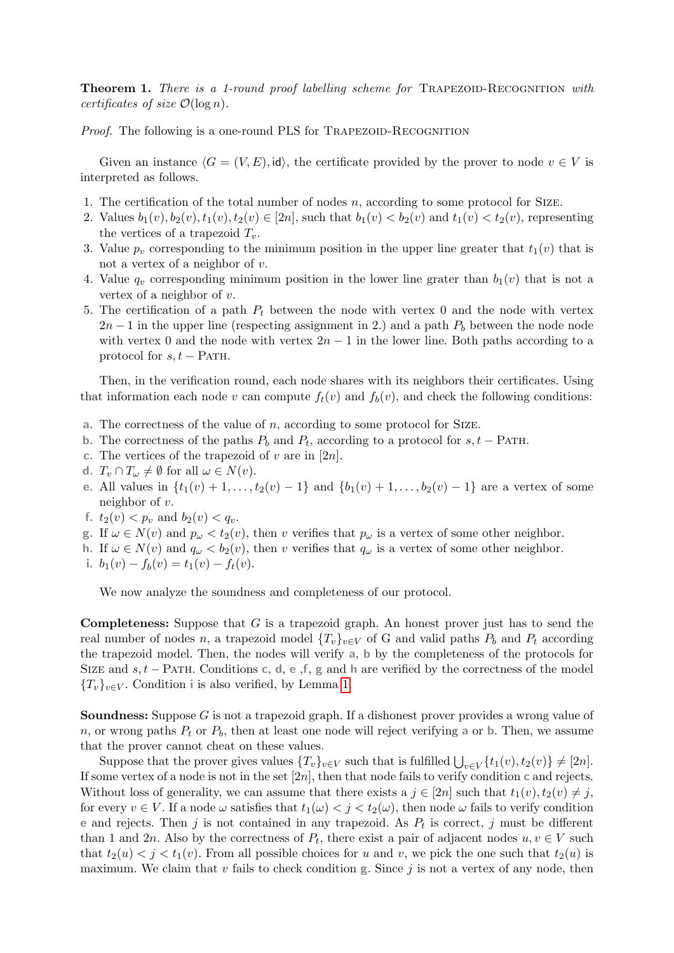**Theorem 1.** There is a 1-round proof labelling scheme for TRAPEZOID-RECOGNITION with certificates of size  $\mathcal{O}(\log n)$ .

Proof. The following is a one-round PLS for TRAPEZOID-RECOGNITION

Given an instance  $\langle G = (V, E), id \rangle$ , the certificate provided by the prover to node  $v \in V$  is interpreted as follows.

- 1. The certification of the total number of nodes  $n$ , according to some protocol for SIZE.
- 2. Values  $b_1(v)$ ,  $b_2(v)$ ,  $t_1(v)$ ,  $t_2(v) \in [2n]$ , such that  $b_1(v) < b_2(v)$  and  $t_1(v) < t_2(v)$ , representing the vertices of a trapezoid  $T_v$ .
- 3. Value  $p_v$  corresponding to the minimum position in the upper line greater that  $t_1(v)$  that is not a vertex of a neighbor of v.
- 4. Value  $q_v$  corresponding minimum position in the lower line grater than  $b_1(v)$  that is not a vertex of a neighbor of  $v$ .
- 5. The certification of a path  $P_t$  between the node with vertex 0 and the node with vertex  $2n-1$  in the upper line (respecting assignment in 2.) and a path  $P<sub>b</sub>$  between the node node with vertex 0 and the node with vertex  $2n - 1$  in the lower line. Both paths according to a protocol for  $s, t -$  PATH.

Then, in the verification round, each node shares with its neighbors their certificates. Using that information each node v can compute  $f_t(v)$  and  $f_b(v)$ , and check the following conditions:

- a. The correctness of the value of  $n$ , according to some protocol for SIZE.
- **b**. The correctness of the paths  $P_b$  and  $P_t$ , according to a protocol for  $s, t$  PATH.
- c. The vertices of the trapezoid of v are in  $[2n]$ .
- d.  $T_v \cap T_\omega \neq \emptyset$  for all  $\omega \in N(v)$ .
- e. All values in  $\{t_1(v) + 1, \ldots, t_2(v) 1\}$  and  $\{b_1(v) + 1, \ldots, b_2(v) 1\}$  are a vertex of some neighbor of v.
- f.  $t_2(v) < p_v$  and  $b_2(v) < q_v$ .
- g. If  $\omega \in N(v)$  and  $p_{\omega} < t_2(v)$ , then v verifies that  $p_{\omega}$  is a vertex of some other neighbor.
- h. If  $\omega \in N(v)$  and  $q_{\omega} < b_2(v)$ , then v verifies that  $q_{\omega}$  is a vertex of some other neighbor.
- i.  $b_1(v) f_b(v) = t_1(v) f_t(v)$ .

We now analyze the soundness and completeness of our protocol.

Completeness: Suppose that G is a trapezoid graph. An honest prover just has to send the real number of nodes n, a trapezoid model  $\{T_v\}_{v\in V}$  of G and valid paths  $P_b$  and  $P_t$  according the trapezoid model. Then, the nodes will verify a, b by the completeness of the protocols for SIZE and s,  $t$  − PATH. Conditions c, d, e, f, g and h are verified by the correctness of the model  ${T_v}_{v \in V}$ . Condition i is also verified, by Lemma [1.](#page-8-1)

Soundness: Suppose G is not a trapezoid graph. If a dishonest prover provides a wrong value of n, or wrong paths  $P_t$  or  $P_b$ , then at least one node will reject verifying a or b. Then, we assume that the prover cannot cheat on these values.

Suppose that the prover gives values  $\{T_v\}_{v\in V}$  such that is fulfilled  $\bigcup_{v\in V}\{t_1(v), t_2(v)\}\neq [2n]$ . If some vertex of a node is not in the set  $[2n]$ , then that node fails to verify condition c and rejects. Without loss of generality, we can assume that there exists a  $j \in [2n]$  such that  $t_1(v), t_2(v) \neq j$ , for every  $v \in V$ . If a node  $\omega$  satisfies that  $t_1(\omega) < j < t_2(\omega)$ , then node  $\omega$  fails to verify condition e and rejects. Then  $j$  is not contained in any trapezoid. As  $P_t$  is correct,  $j$  must be different than 1 and 2n. Also by the correctness of  $P_t$ , there exist a pair of adjacent nodes  $u, v \in V$  such that  $t_2(u) < j < t_1(v)$ . From all possible choices for u and v, we pick the one such that  $t_2(u)$  is maximum. We claim that  $v$  fails to check condition g. Since  $j$  is not a vertex of any node, then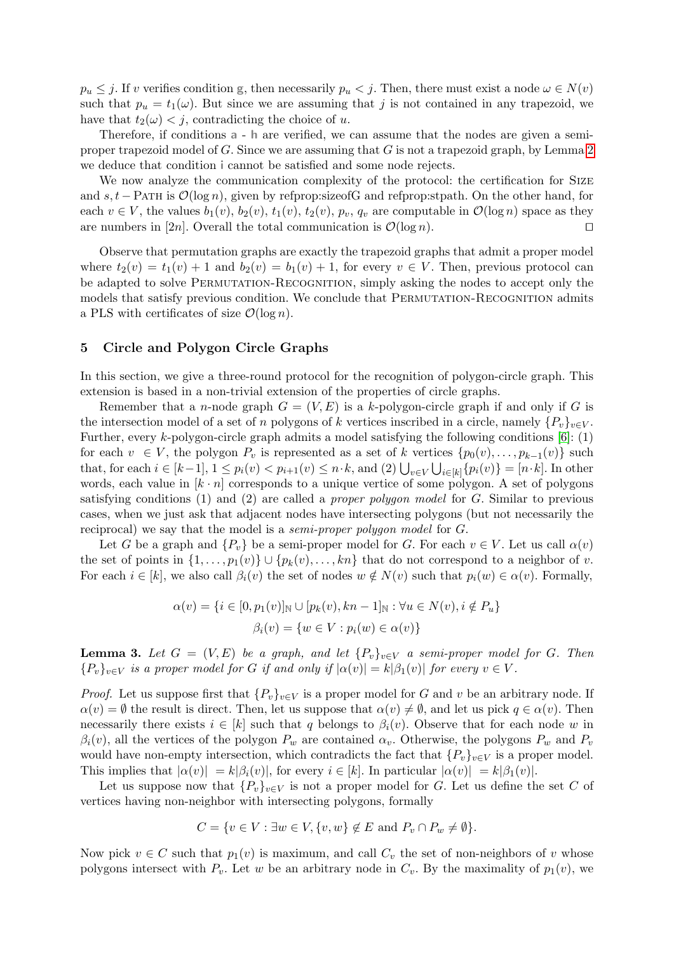$p_u \leq j$ . If v verifies condition g, then necessarily  $p_u \leq j$ . Then, there must exist a node  $\omega \in N(v)$ such that  $p_u = t_1(\omega)$ . But since we are assuming that j is not contained in any trapezoid, we have that  $t_2(\omega) < j$ , contradicting the choice of u.

Therefore, if conditions a - h are verified, we can assume that the nodes are given a semiproper trapezoid model of  $G$ . Since we are assuming that  $G$  is not a trapezoid graph, by Lemma [2](#page-8-2) we deduce that condition i cannot be satisfied and some node rejects.

We now analyze the communication complexity of the protocol: the certification for Size and s, t – PATH is  $\mathcal{O}(\log n)$ , given by refprop:sizeofG and refprop:stpath. On the other hand, for each  $v \in V$ , the values  $b_1(v)$ ,  $b_2(v)$ ,  $t_1(v)$ ,  $t_2(v)$ ,  $p_v$ ,  $q_v$  are computable in  $\mathcal{O}(\log n)$  space as they are numbers in [2n]. Overall the total communication is  $\mathcal{O}(\log n)$ .

Observe that permutation graphs are exactly the trapezoid graphs that admit a proper model where  $t_2(v) = t_1(v) + 1$  and  $b_2(v) = b_1(v) + 1$ , for every  $v \in V$ . Then, previous protocol can be adapted to solve Permutation-Recognition, simply asking the nodes to accept only the models that satisfy previous condition. We conclude that PERMUTATION-RECOGNITION admits a PLS with certificates of size  $\mathcal{O}(\log n)$ .

# <span id="page-10-0"></span>5 Circle and Polygon Circle Graphs

In this section, we give a three-round protocol for the recognition of polygon-circle graph. This extension is based in a non-trivial extension of the properties of circle graphs.

Remember that a *n*-node graph  $G = (V, E)$  is a *k*-polygon-circle graph if and only if G is the intersection model of a set of n polygons of k vertices inscribed in a circle, namely  $\{P_v\}_{v\in V}$ . Further, every k-polygon-circle graph admits a model satisfying the following conditions  $[6]$ : (1) for each  $v \in V$ , the polygon  $P_v$  is represented as a set of k vertices  $\{p_0(v), \ldots, p_{k-1}(v)\}\$  such that, for each  $i \in [k-1]$ ,  $1 \leq p_i(v) < p_{i+1}(v) \leq n \cdot k$ , and  $(2) \bigcup_{v \in V} \bigcup_{i \in [k]} \{p_i(v)\} = [n \cdot k]$ . In other words, each value in  $[k \cdot n]$  corresponds to a unique vertice of some polygon. A set of polygons satisfying conditions (1) and (2) are called a proper polygon model for G. Similar to previous cases, when we just ask that adjacent nodes have intersecting polygons (but not necessarily the reciprocal) we say that the model is a semi-proper polygon model for G.

Let G be a graph and  $\{P_v\}$  be a semi-proper model for G. For each  $v \in V$ . Let us call  $\alpha(v)$ the set of points in  $\{1,\ldots,p_1(v)\}\cup\{p_k(v),\ldots,kn\}$  that do not correspond to a neighbor of v. For each  $i \in [k]$ , we also call  $\beta_i(v)$  the set of nodes  $w \notin N(v)$  such that  $p_i(w) \in \alpha(v)$ . Formally,

$$
\alpha(v) = \{i \in [0, p_1(v)]_{\mathbb{N}} \cup [p_k(v), kn - 1]_{\mathbb{N}} : \forall u \in N(v), i \notin P_u\}
$$

$$
\beta_i(v) = \{w \in V : p_i(w) \in \alpha(v)\}
$$

<span id="page-10-1"></span>**Lemma 3.** Let  $G = (V, E)$  be a graph, and let  ${P_v}_{v \in V}$  a semi-proper model for G. Then  ${P_v}_{v \in V}$  is a proper model for G if and only if  $|\alpha(v)| = k|\beta_1(v)|$  for every  $v \in V$ .

*Proof.* Let us suppose first that  $\{P_v\}_{v\in V}$  is a proper model for G and v be an arbitrary node. If  $\alpha(v) = \emptyset$  the result is direct. Then, let us suppose that  $\alpha(v) \neq \emptyset$ , and let us pick  $q \in \alpha(v)$ . Then necessarily there exists  $i \in [k]$  such that q belongs to  $\beta_i(v)$ . Observe that for each node w in  $\beta_i(v)$ , all the vertices of the polygon  $P_w$  are contained  $\alpha_v$ . Otherwise, the polygons  $P_w$  and  $P_v$ would have non-empty intersection, which contradicts the fact that  ${P_v}_{v\in V}$  is a proper model. This implies that  $|\alpha(v)| = k|\beta_i(v)|$ , for every  $i \in [k]$ . In particular  $|\alpha(v)| = k|\beta_1(v)|$ .

Let us suppose now that  ${P_v}_{v\in V}$  is not a proper model for G. Let us define the set C of vertices having non-neighbor with intersecting polygons, formally

$$
C = \{ v \in V : \exists w \in V, \{v, w\} \notin E \text{ and } P_v \cap P_w \neq \emptyset \}.
$$

Now pick  $v \in C$  such that  $p_1(v)$  is maximum, and call  $C_v$  the set of non-neighbors of v whose polygons intersect with  $P_v$ . Let w be an arbitrary node in  $C_v$ . By the maximality of  $p_1(v)$ , we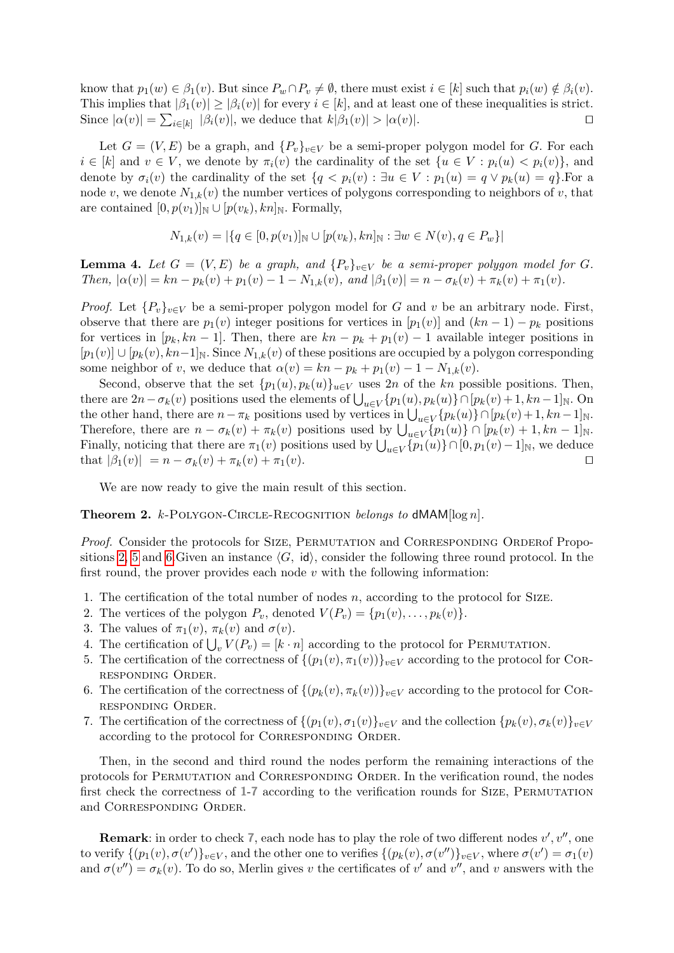know that  $p_1(w) \in \beta_1(v)$ . But since  $P_w \cap P_v \neq \emptyset$ , there must exist  $i \in [k]$  such that  $p_i(w) \notin \beta_i(v)$ . This implies that  $|\beta_1(v)| \geq |\beta_i(v)|$  for every  $i \in [k]$ , and at least one of these inequalities is strict. Since  $|\alpha(v)| = \sum_{i \in [k]} |\beta_i(v)|$ , we deduce that  $k|\beta_1(v)| > |\alpha(v)|$ .

Let  $G = (V, E)$  be a graph, and  $\{P_v\}_{v \in V}$  be a semi-proper polygon model for G. For each  $i \in [k]$  and  $v \in V$ , we denote by  $\pi_i(v)$  the cardinality of the set  $\{u \in V : p_i(u) < p_i(v)\}$ , and denote by  $\sigma_i(v)$  the cardinality of the set  $\{q < p_i(v) : \exists u \in V : p_1(u) = q \vee p_k(u) = q\}$ . For a node v, we denote  $N_{1,k}(v)$  the number vertices of polygons corresponding to neighbors of v, that are contained  $[0, p(v_1)]_N \cup [p(v_k), kn]_N$ . Formally,

$$
N_{1,k}(v) = |\{q \in [0, p(v_1)]_N \cup [p(v_k), kn]_N : \exists w \in N(v), q \in P_w\}|
$$

<span id="page-11-0"></span>**Lemma 4.** Let  $G = (V, E)$  be a graph, and  $\{P_v\}_{v \in V}$  be a semi-proper polygon model for G. Then,  $|\alpha(v)| = kn - p_k(v) + p_1(v) - 1 - N_{1,k}(v)$ , and  $|\beta_1(v)| = n - \sigma_k(v) + \pi_k(v) + \pi_1(v)$ .

*Proof.* Let  $\{P_v\}_{v\in V}$  be a semi-proper polygon model for G and v be an arbitrary node. First, observe that there are  $p_1(v)$  integer positions for vertices in  $[p_1(v)]$  and  $(kn-1) - p_k$  positions for vertices in  $[p_k, kn-1]$ . Then, there are  $kn - p_k + p_1(v) - 1$  available integer positions in  $[p_1(v)] \cup [p_k(v), kn-1]_N$ . Since  $N_{1,k}(v)$  of these positions are occupied by a polygon corresponding some neighbor of v, we deduce that  $\alpha(v) = kn - p_k + p_1(v) - 1 - N_{1,k}(v)$ .

Second, observe that the set  $\{p_1(u), p_k(u)\}_{u\in V}$  uses  $2n$  of the kn possible positions. Then, there are  $2n - \sigma_k(v)$  positions used the elements of  $\bigcup_{u \in V} \{p_1(u), p_k(u)\} \cap [p_k(v) + 1, kn - 1]_N$ . On the other hand, there are  $n - \pi_k$  positions used by vertices in  $\bigcup_{u \in V} \{p_k(u)\} \cap [p_k(v) + 1, kn - 1]_N$ . Therefore, there are  $n - \sigma_k(v) + \pi_k(v)$  positions used by  $\bigcup_{u \in V} \{p_1(u)\} \cap [p_k(v) + 1, kn - 1]_N$ . Finally, noticing that there are  $\pi_1(v)$  positions used by  $\bigcup_{u \in V} \{p_1(u)\} \cap [0, p_1(v) - 1]_N$ , we deduce that  $|\beta_1(v)| = n - \sigma_k(v) + \pi_k(v) + \pi_1(v)$ .

We are now ready to give the main result of this section.

**Theorem 2.**  $k$ -POLYGON-CIRCLE-RECOGNITION belongs to  $dMAM[log n]$ .

Proof. Consider the protocols for SIZE, PERMUTATION and CORRESPONDING ORDEROf Propo-sitions [2,](#page-6-1) [5](#page-6-2) and [6.](#page-6-3)Given an instance  $\langle G, \mathbf{d} \rangle$ , consider the following three round protocol. In the first round, the prover provides each node  $v$  with the following information:

- 1. The certification of the total number of nodes  $n$ , according to the protocol for SIZE.
- 2. The vertices of the polygon  $P_v$ , denoted  $V(P_v) = \{p_1(v), \ldots, p_k(v)\}.$
- 3. The values of  $\pi_1(v)$ ,  $\pi_k(v)$  and  $\sigma(v)$ .
- 4. The certification of  $\bigcup_{v} V(P_v) = [k \cdot n]$  according to the protocol for PERMUTATION.
- 5. The certification of the correctness of  $\{(p_1(v), \pi_1(v))\}_{v\in V}$  according to the protocol for CORresponding Order.
- 6. The certification of the correctness of  $\{(p_k(v), \pi_k(v))\}_{v\in V}$  according to the protocol for CORresponding Order.
- 7. The certification of the correctness of  $\{(p_1(v), \sigma_1(v)\}_{v\in V}$  and the collection  $\{p_k(v), \sigma_k(v)\}_{v\in V}$ according to the protocol for CORRESPONDING ORDER.

Then, in the second and third round the nodes perform the remaining interactions of the protocols for Permutation and Corresponding Order. In the verification round, the nodes first check the correctness of 1-7 according to the verification rounds for Size, Permutation and CORRESPONDING ORDER.

**Remark:** in order to check 7, each node has to play the role of two different nodes  $v', v'',$  one to verify  $\{(p_1(v), \sigma(v')\}_{v \in V}$ , and the other one to verifies  $\{(p_k(v), \sigma(v'')\}_{v \in V}$ , where  $\sigma(v') = \sigma_1(v)$ and  $\sigma(v'') = \sigma_k(v)$ . To do so, Merlin gives v the certificates of v' and v'', and v answers with the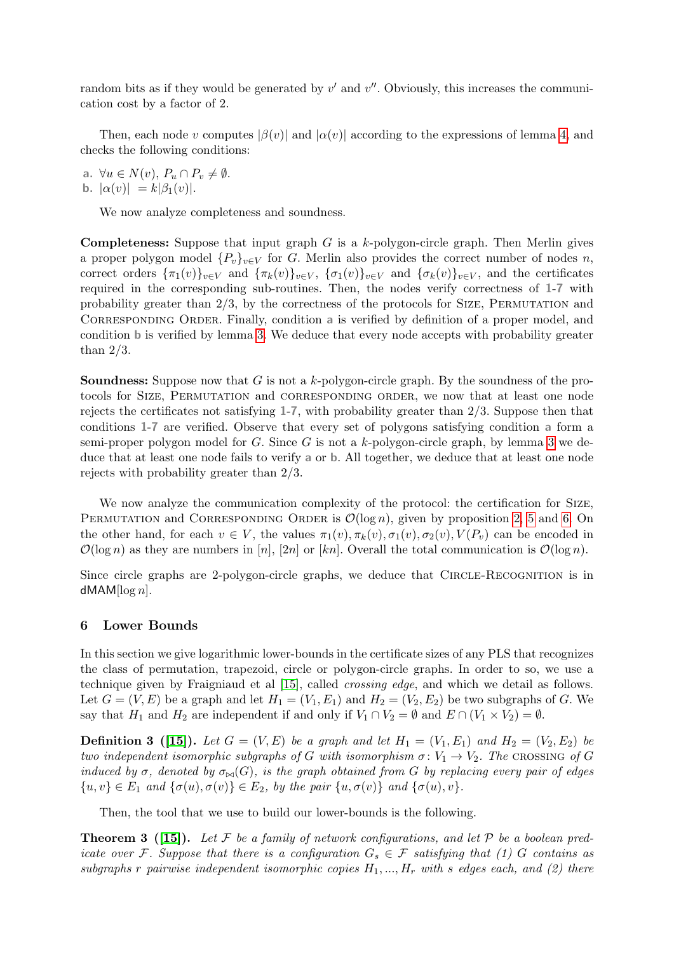random bits as if they would be generated by  $v'$  and  $v''$ . Obviously, this increases the communication cost by a factor of 2.

Then, each node v computes  $|\beta(v)|$  and  $|\alpha(v)|$  according to the expressions of lemma [4,](#page-11-0) and checks the following conditions:

a.  $\forall u \in N(v), P_u \cap P_v \neq \emptyset$ . b.  $|\alpha(v)| = k|\beta_1(v)|$ .

We now analyze completeness and soundness.

**Completeness:** Suppose that input graph  $G$  is a k-polygon-circle graph. Then Merlin gives a proper polygon model  $\{P_v\}_{v\in V}$  for G. Merlin also provides the correct number of nodes n, correct orders  ${\{\pi_1(v)\}}_{v\in V}$  and  ${\{\pi_k(v)\}}_{v\in V}$ ,  ${\{\sigma_1(v)\}}_{v\in V}$  and  ${\{\sigma_k(v)\}}_{v\in V}$ , and the certificates required in the corresponding sub-routines. Then, the nodes verify correctness of 1-7 with probability greater than  $2/3$ , by the correctness of the protocols for SIZE, PERMUTATION and CORRESPONDING ORDER. Finally, condition a is verified by definition of a proper model, and condition b is verified by lemma [3.](#page-10-1) We deduce that every node accepts with probability greater than 2/3.

**Soundness:** Suppose now that G is not a k-polygon-circle graph. By the soundness of the protocols for Size, Permutation and corresponding order, we now that at least one node rejects the certificates not satisfying 1-7, with probability greater than 2/3. Suppose then that conditions 1-7 are verified. Observe that every set of polygons satisfying condition a form a semi-proper polygon model for  $G$ . Since  $G$  is not a k-polygon-circle graph, by lemma [3](#page-10-1) we deduce that at least one node fails to verify a or b. All together, we deduce that at least one node rejects with probability greater than 2/3.

We now analyze the communication complexity of the protocol: the certification for Size, PERMUTATION and CORRESPONDING ORDER is  $\mathcal{O}(\log n)$ , given by proposition [2,](#page-6-1) [5](#page-6-2) and [6.](#page-6-3) On the other hand, for each  $v \in V$ , the values  $\pi_1(v), \pi_k(v), \sigma_1(v), \sigma_2(v), V(P_v)$  can be encoded in  $\mathcal{O}(\log n)$  as they are numbers in [n], [2n] or [kn]. Overall the total communication is  $\mathcal{O}(\log n)$ .

Since circle graphs are 2-polygon-circle graphs, we deduce that CIRCLE-RECOGNITION is in  $dMAM[\log n]$ .

## <span id="page-12-0"></span>6 Lower Bounds

In this section we give logarithmic lower-bounds in the certificate sizes of any PLS that recognizes the class of permutation, trapezoid, circle or polygon-circle graphs. In order to so, we use a technique given by Fraigniaud et al [\[15\]](#page-15-33), called crossing edge, and which we detail as follows. Let  $G = (V, E)$  be a graph and let  $H_1 = (V_1, E_1)$  and  $H_2 = (V_2, E_2)$  be two subgraphs of G. We say that  $H_1$  and  $H_2$  are independent if and only if  $V_1 \cap V_2 = \emptyset$  and  $E \cap (V_1 \times V_2) = \emptyset$ .

**Definition 3** ([\[15\]](#page-15-33)). Let  $G = (V, E)$  be a graph and let  $H_1 = (V_1, E_1)$  and  $H_2 = (V_2, E_2)$  be two independent isomorphic subgraphs of G with isomorphism  $\sigma: V_1 \to V_2$ . The CROSSING of G induced by  $\sigma$ , denoted by  $\sigma_{\bowtie}(G)$ , is the graph obtained from G by replacing every pair of edges  $\{u, v\} \in E_1$  and  $\{\sigma(u), \sigma(v)\} \in E_2$ , by the pair  $\{u, \sigma(v)\}$  and  $\{\sigma(u), v\}$ .

Then, the tool that we use to build our lower-bounds is the following.

<span id="page-12-1"></span>**Theorem 3** ([\[15\]](#page-15-33)). Let F be a family of network configurations, and let P be a boolean predicate over F. Suppose that there is a configuration  $G_s \in \mathcal{F}$  satisfying that (1) G contains as subgraphs r pairwise independent isomorphic copies  $H_1, ..., H_r$  with s edges each, and (2) there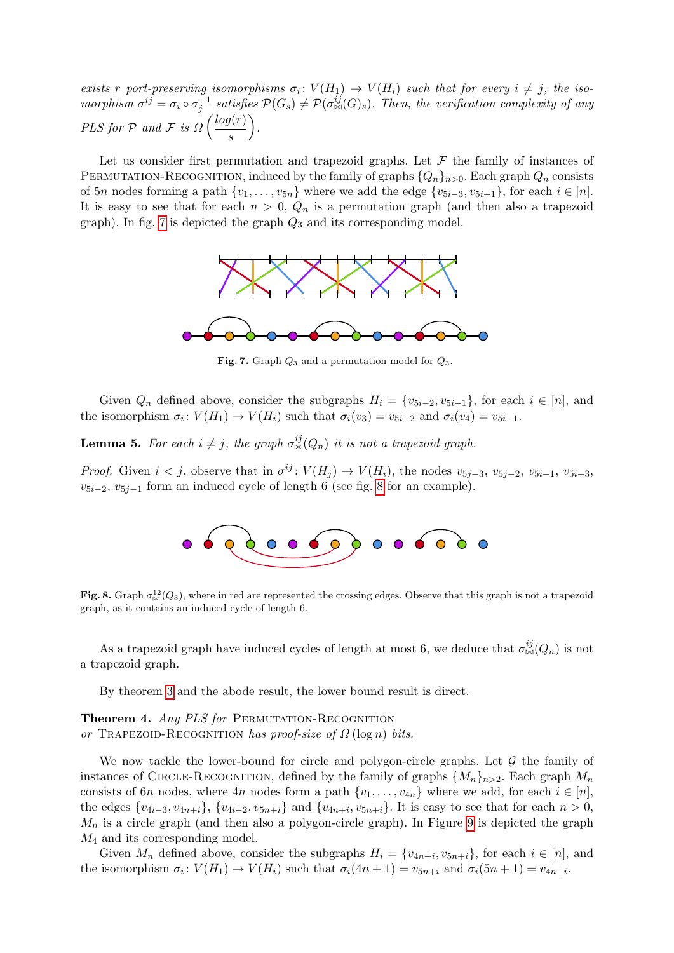exists r port-preserving isomorphisms  $\sigma_i: V(H_1) \to V(H_i)$  such that for every  $i \neq j$ , the isomorphism  $\sigma^{ij} = \sigma_i \circ \sigma_j^{-1}$  satisfies  $\mathcal{P}(G_s) \neq \mathcal{P}(\sigma_{\bowtie}^{ij}(G)_s)$ . Then, the verification complexity of any PLS for P and F is  $\Omega\left(\frac{log(r)}{r}\right)$ s ã .

Let us consider first permutation and trapezoid graphs. Let  $\mathcal F$  the family of instances of PERMUTATION-RECOGNITION, induced by the family of graphs  $\{Q_n\}_{n>0}$ . Each graph  $Q_n$  consists of 5n nodes forming a path  $\{v_1, \ldots, v_{5n}\}$  where we add the edge  $\{v_{5i-3}, v_{5i-1}\}$ , for each  $i \in [n]$ . It is easy to see that for each  $n > 0$ ,  $Q_n$  is a permutation graph (and then also a trapezoid  $graph$ ). In fig. [7](#page-13-0) is depicted the graph  $Q_3$  and its corresponding model.



<span id="page-13-0"></span>Fig. 7. Graph  $Q_3$  and a permutation model for  $Q_3$ .

Given  $Q_n$  defined above, consider the subgraphs  $H_i = \{v_{5i-2}, v_{5i-1}\}\$ , for each  $i \in [n]$ , and the isomorphism  $\sigma_i: V(H_1) \to V(H_i)$  such that  $\sigma_i(v_3) = v_{5i-2}$  and  $\sigma_i(v_4) = v_{5i-1}$ .

**Lemma 5.** For each  $i \neq j$ , the graph  $\sigma_{\bowtie}^{ij}(Q_n)$  it is not a trapezoid graph.

*Proof.* Given  $i < j$ , observe that in  $\sigma^{ij}$ :  $V(H_j) \to V(H_i)$ , the nodes  $v_{5j-3}$ ,  $v_{5j-2}$ ,  $v_{5i-1}$ ,  $v_{5i-3}$ ,  $v_{5i-2}, v_{5j-1}$  form an induced cycle of length 6 (see fig. [8](#page-13-1) for an example).



<span id="page-13-1"></span>Fig. 8. Graph  $\sigma^{12}_{\bowtie}(Q_3)$ , where in red are represented the crossing edges. Observe that this graph is not a trapezoid graph, as it contains an induced cycle of length 6.

As a trapezoid graph have induced cycles of length at most 6, we deduce that  $\sigma^{ij}_{\bowtie}(Q_n)$  is not a trapezoid graph.

By theorem [3](#page-12-1) and the abode result, the lower bound result is direct.

Theorem 4. Any PLS for PERMUTATION-RECOGNITION or TRAPEZOID-RECOGNITION has proof-size of  $\Omega(\log n)$  bits.

We now tackle the lower-bound for circle and polygon-circle graphs. Let  $\mathcal G$  the family of instances of CIRCLE-RECOGNITION, defined by the family of graphs  $\{M_n\}_{n>2}$ . Each graph  $M_n$ consists of 6n nodes, where 4n nodes form a path  $\{v_1, \ldots, v_{4n}\}$  where we add, for each  $i \in [n]$ , the edges  $\{v_{4i-3}, v_{4n+i}\}, \{v_{4i-2}, v_{5n+i}\}$  and  $\{v_{4n+i}, v_{5n+i}\}.$  It is easy to see that for each  $n > 0$ ,  $M_n$  is a circle graph (and then also a polygon-circle graph). In Figure [9](#page-14-9) is depicted the graph  $M_4$  and its corresponding model.

<span id="page-13-2"></span>Given  $M_n$  defined above, consider the subgraphs  $H_i = \{v_{4n+i}, v_{5n+i}\}\$ , for each  $i \in [n]$ , and the isomorphism  $\sigma_i: V(H_1) \to V(H_i)$  such that  $\sigma_i(4n+1) = v_{5n+i}$  and  $\sigma_i(5n+1) = v_{4n+i}$ .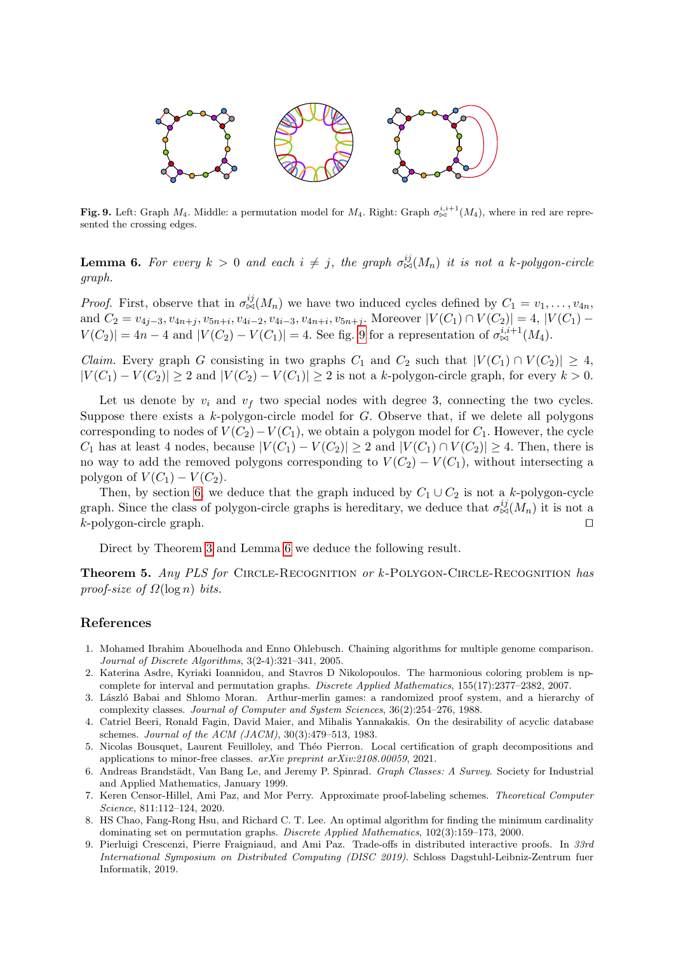

<span id="page-14-9"></span>Fig. 9. Left: Graph  $M_4$ . Middle: a permutation model for  $M_4$ . Right: Graph  $\sigma^{i,i+1}_{\bowtie}(M_4)$ , where in red are represented the crossing edges.

**Lemma 6.** For every  $k > 0$  and each  $i \neq j$ , the graph  $\sigma_{\bowtie}^{ij}(M_n)$  it is not a k-polygon-circle graph.

*Proof.* First, observe that in  $\sigma^{ij}_{\bowtie}(M_n)$  we have two induced cycles defined by  $C_1 = v_1, \ldots, v_{4n}$ , and  $C_2 = v_{4j-3}, v_{4n+j}, v_{5n+i}, v_{4i-2}, v_{4i-3}, v_{4n+i}, v_{5n+j}$ . Moreover  $|V(C_1) \cap V(C_2)| = 4$ ,  $|V(C_1) |V(C_2)| = 4n - 4$  and  $|V(C_2) - V(C_1)| = 4$ . See fig. [9](#page-14-9) for a representation of  $\sigma^{i,i+1}_{\bowtie}(M_4)$ .

*Claim.* Every graph G consisting in two graphs  $C_1$  and  $C_2$  such that  $|V(C_1) \cap V(C_2)| \geq 4$ ,  $|V(C_1) - V(C_2)| \geq 2$  and  $|V(C_2) - V(C_1)| \geq 2$  is not a k-polygon-circle graph, for every  $k > 0$ .

Let us denote by  $v_i$  and  $v_f$  two special nodes with degree 3, connecting the two cycles. Suppose there exists a  $k$ -polygon-circle model for  $G$ . Observe that, if we delete all polygons corresponding to nodes of  $V(C_2)-V(C_1)$ , we obtain a polygon model for  $C_1$ . However, the cycle  $C_1$  has at least 4 nodes, because  $|V(C_1) - V(C_2)| \geq 2$  and  $|V(C_1) \cap V(C_2)| \geq 4$ . Then, there is no way to add the removed polygons corresponding to  $V(C_2) - V(C_1)$ , without intersecting a polygon of  $V(C_1) - V(C_2)$ .

Then, by section [6,](#page-13-2) we deduce that the graph induced by  $C_1 \cup C_2$  is not a k-polygon-cycle graph. Since the class of polygon-circle graphs is hereditary, we deduce that  $\sigma^{ij}_{\bowtie}(M_n)$  it is not a  $k$ -polygon-circle graph.

Direct by Theorem [3](#page-12-1) and Lemma [6](#page-13-2) we deduce the following result.

Theorem 5. Any PLS for CIRCLE-RECOGNITION or k-POLYGON-CIRCLE-RECOGNITION has proof-size of  $\Omega(\log n)$  bits.

## References

- <span id="page-14-5"></span>1. Mohamed Ibrahim Abouelhoda and Enno Ohlebusch. Chaining algorithms for multiple genome comparison. Journal of Discrete Algorithms, 3(2-4):321–341, 2005.
- <span id="page-14-2"></span>2. Katerina Asdre, Kyriaki Ioannidou, and Stavros D Nikolopoulos. The harmonious coloring problem is npcomplete for interval and permutation graphs. Discrete Applied Mathematics, 155(17):2377–2382, 2007.
- <span id="page-14-0"></span>3. László Babai and Shlomo Moran. Arthur-merlin games: a randomized proof system, and a hierarchy of complexity classes. Journal of Computer and System Sciences, 36(2):254–276, 1988.
- <span id="page-14-3"></span>4. Catriel Beeri, Ronald Fagin, David Maier, and Mihalis Yannakakis. On the desirability of acyclic database schemes. Journal of the ACM (JACM), 30(3):479–513, 1983.
- <span id="page-14-6"></span>5. Nicolas Bousquet, Laurent Feuilloley, and Théo Pierron. Local certification of graph decompositions and applications to minor-free classes. arXiv preprint arXiv:2108.00059, 2021.
- <span id="page-14-8"></span>6. Andreas Brandstädt, Van Bang Le, and Jeremy P. Spinrad. Graph Classes: A Survey. Society for Industrial and Applied Mathematics, January 1999.
- <span id="page-14-7"></span>7. Keren Censor-Hillel, Ami Paz, and Mor Perry. Approximate proof-labeling schemes. Theoretical Computer Science, 811:112–124, 2020.
- <span id="page-14-4"></span>8. HS Chao, Fang-Rong Hsu, and Richard C. T. Lee. An optimal algorithm for finding the minimum cardinality dominating set on permutation graphs. Discrete Applied Mathematics, 102(3):159–173, 2000.
- <span id="page-14-1"></span>9. Pierluigi Crescenzi, Pierre Fraigniaud, and Ami Paz. Trade-offs in distributed interactive proofs. In 33rd International Symposium on Distributed Computing (DISC 2019). Schloss Dagstuhl-Leibniz-Zentrum fuer Informatik, 2019.